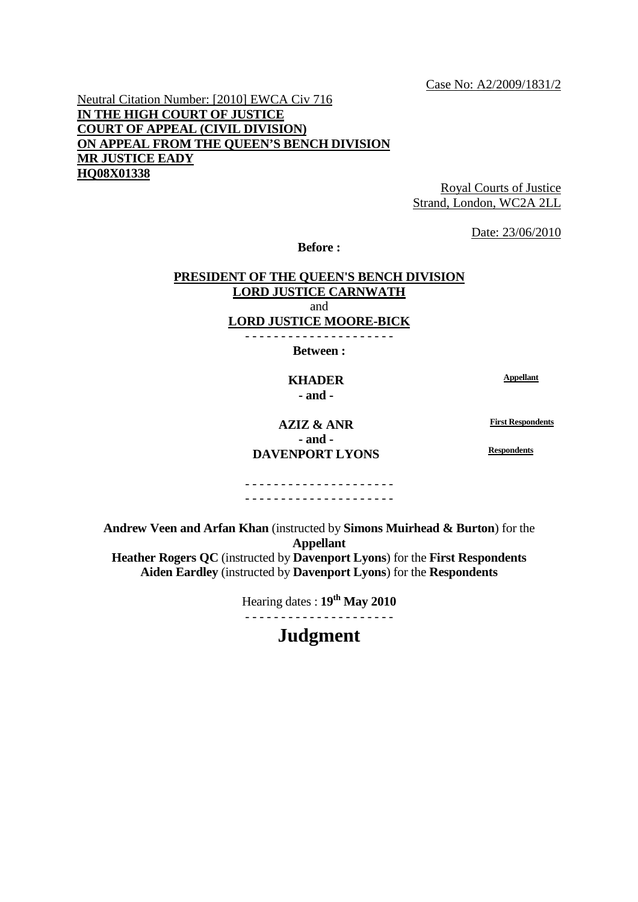Case No: A2/2009/1831/2

Neutral Citation Number: [2010] EWCA Civ 716 **IN THE HIGH COURT OF JUSTICE COURT OF APPEAL (CIVIL DIVISION) ON APPEAL FROM THE QUEEN'S BENCH DIVISION MR JUSTICE EADY HQ08X01338**

Royal Courts of Justice Strand, London, WC2A 2LL

Date: 23/06/2010

**Before :** 

# **PRESIDENT OF THE QUEEN'S BENCH DIVISION LORD JUSTICE CARNWATH** and

**LORD JUSTICE MOORE-BICK** - - - - - - - - - - - - - - - - - - - - -

**Between :** 

## **KHADER Appellant - and -**

**AZIZ & ANR First Respondents - and - DAVENPORT LYONS Respondents** 

- - - - - - - - - - - - - - - - - - - - - - - - - - - - - - - - - - - - - - - - - -

**Andrew Veen and Arfan Khan** (instructed by **Simons Muirhead & Burton**) for the **Appellant Heather Rogers QC** (instructed by **Davenport Lyons**) for the **First Respondents Aiden Eardley** (instructed by **Davenport Lyons**) for the **Respondents** 

> Hearing dates : **19th May 2010**  - - - - - - - - - - - - - - - - - - - - -

> > **Judgment**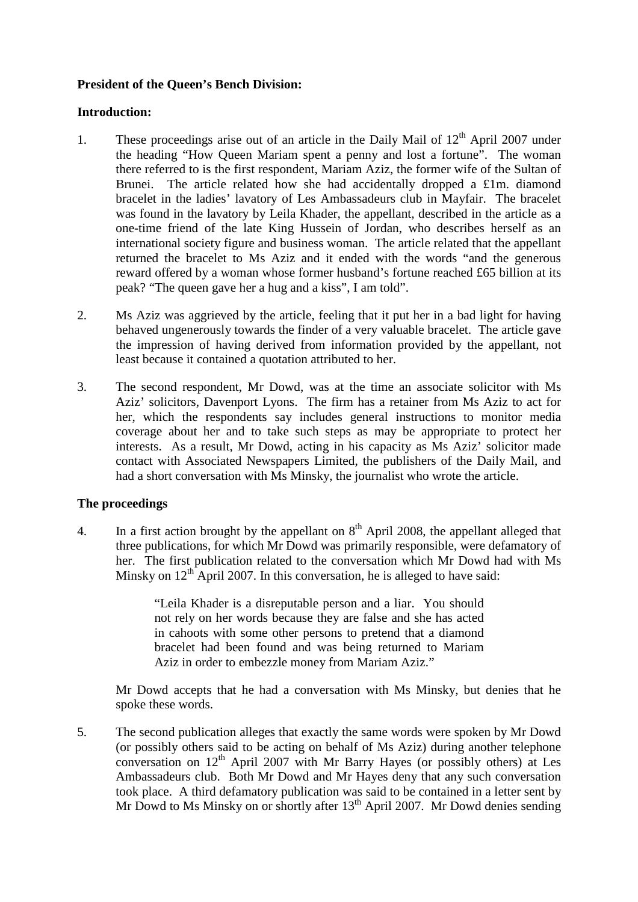# **President of the Queen's Bench Division:**

## **Introduction:**

- 1. These proceedings arise out of an article in the Daily Mail of  $12<sup>th</sup>$  April 2007 under the heading "How Queen Mariam spent a penny and lost a fortune". The woman there referred to is the first respondent, Mariam Aziz, the former wife of the Sultan of Brunei. The article related how she had accidentally dropped a £1m. diamond bracelet in the ladies' lavatory of Les Ambassadeurs club in Mayfair. The bracelet was found in the lavatory by Leila Khader, the appellant, described in the article as a one-time friend of the late King Hussein of Jordan, who describes herself as an international society figure and business woman. The article related that the appellant returned the bracelet to Ms Aziz and it ended with the words "and the generous reward offered by a woman whose former husband's fortune reached £65 billion at its peak? "The queen gave her a hug and a kiss", I am told".
- 2. Ms Aziz was aggrieved by the article, feeling that it put her in a bad light for having behaved ungenerously towards the finder of a very valuable bracelet. The article gave the impression of having derived from information provided by the appellant, not least because it contained a quotation attributed to her.
- 3. The second respondent, Mr Dowd, was at the time an associate solicitor with Ms Aziz' solicitors, Davenport Lyons. The firm has a retainer from Ms Aziz to act for her, which the respondents say includes general instructions to monitor media coverage about her and to take such steps as may be appropriate to protect her interests. As a result, Mr Dowd, acting in his capacity as Ms Aziz' solicitor made contact with Associated Newspapers Limited, the publishers of the Daily Mail, and had a short conversation with Ms Minsky, the journalist who wrote the article.

# **The proceedings**

4. In a first action brought by the appellant on  $8<sup>th</sup>$  April 2008, the appellant alleged that three publications, for which Mr Dowd was primarily responsible, were defamatory of her. The first publication related to the conversation which Mr Dowd had with Ms Minsky on  $12^{th}$  April 2007. In this conversation, he is alleged to have said:

> "Leila Khader is a disreputable person and a liar. You should not rely on her words because they are false and she has acted in cahoots with some other persons to pretend that a diamond bracelet had been found and was being returned to Mariam Aziz in order to embezzle money from Mariam Aziz."

Mr Dowd accepts that he had a conversation with Ms Minsky, but denies that he spoke these words.

5. The second publication alleges that exactly the same words were spoken by Mr Dowd (or possibly others said to be acting on behalf of Ms Aziz) during another telephone conversation on  $12<sup>th</sup>$  April 2007 with Mr Barry Hayes (or possibly others) at Les Ambassadeurs club. Both Mr Dowd and Mr Hayes deny that any such conversation took place. A third defamatory publication was said to be contained in a letter sent by Mr Dowd to Ms Minsky on or shortly after  $13<sup>th</sup>$  April 2007. Mr Dowd denies sending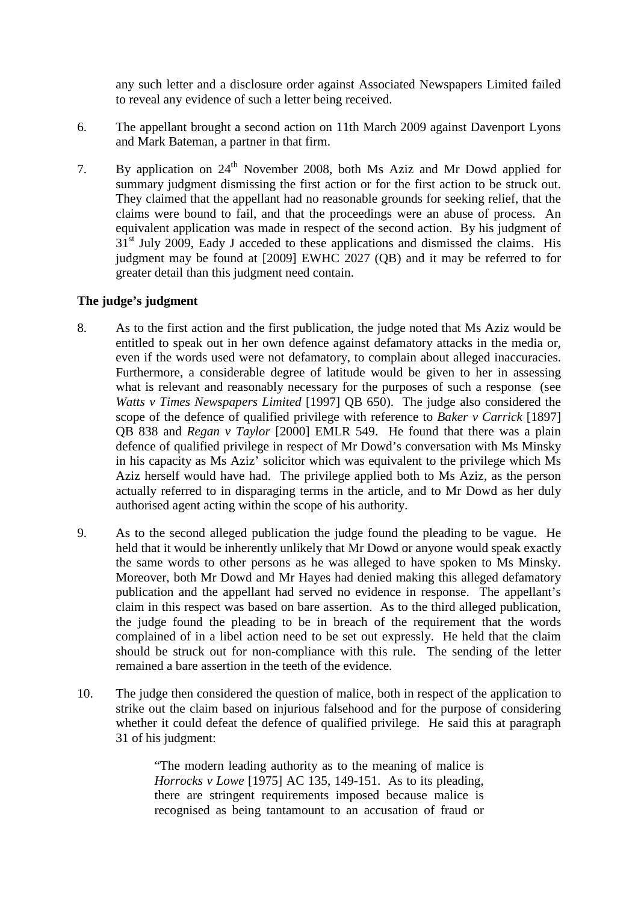any such letter and a disclosure order against Associated Newspapers Limited failed to reveal any evidence of such a letter being received.

- 6. The appellant brought a second action on 11th March 2009 against Davenport Lyons and Mark Bateman, a partner in that firm.
- 7. By application on 24<sup>th</sup> November 2008, both Ms Aziz and Mr Dowd applied for summary judgment dismissing the first action or for the first action to be struck out. They claimed that the appellant had no reasonable grounds for seeking relief, that the claims were bound to fail, and that the proceedings were an abuse of process. An equivalent application was made in respect of the second action. By his judgment of  $31<sup>st</sup>$  July 2009, Eady J acceded to these applications and dismissed the claims. His judgment may be found at [2009] EWHC 2027 (QB) and it may be referred to for greater detail than this judgment need contain.

### **The judge's judgment**

- 8. As to the first action and the first publication, the judge noted that Ms Aziz would be entitled to speak out in her own defence against defamatory attacks in the media or, even if the words used were not defamatory, to complain about alleged inaccuracies. Furthermore, a considerable degree of latitude would be given to her in assessing what is relevant and reasonably necessary for the purposes of such a response (see *Watts v Times Newspapers Limited* [1997] QB 650). The judge also considered the scope of the defence of qualified privilege with reference to *Baker v Carrick* [1897] QB 838 and *Regan v Taylor* [2000] EMLR 549. He found that there was a plain defence of qualified privilege in respect of Mr Dowd's conversation with Ms Minsky in his capacity as Ms Aziz' solicitor which was equivalent to the privilege which Ms Aziz herself would have had. The privilege applied both to Ms Aziz, as the person actually referred to in disparaging terms in the article, and to Mr Dowd as her duly authorised agent acting within the scope of his authority.
- 9. As to the second alleged publication the judge found the pleading to be vague. He held that it would be inherently unlikely that Mr Dowd or anyone would speak exactly the same words to other persons as he was alleged to have spoken to Ms Minsky. Moreover, both Mr Dowd and Mr Hayes had denied making this alleged defamatory publication and the appellant had served no evidence in response. The appellant's claim in this respect was based on bare assertion. As to the third alleged publication, the judge found the pleading to be in breach of the requirement that the words complained of in a libel action need to be set out expressly. He held that the claim should be struck out for non-compliance with this rule. The sending of the letter remained a bare assertion in the teeth of the evidence.
- 10. The judge then considered the question of malice, both in respect of the application to strike out the claim based on injurious falsehood and for the purpose of considering whether it could defeat the defence of qualified privilege. He said this at paragraph 31 of his judgment:

"The modern leading authority as to the meaning of malice is *Horrocks v Lowe* [1975] AC 135, 149-151. As to its pleading, there are stringent requirements imposed because malice is recognised as being tantamount to an accusation of fraud or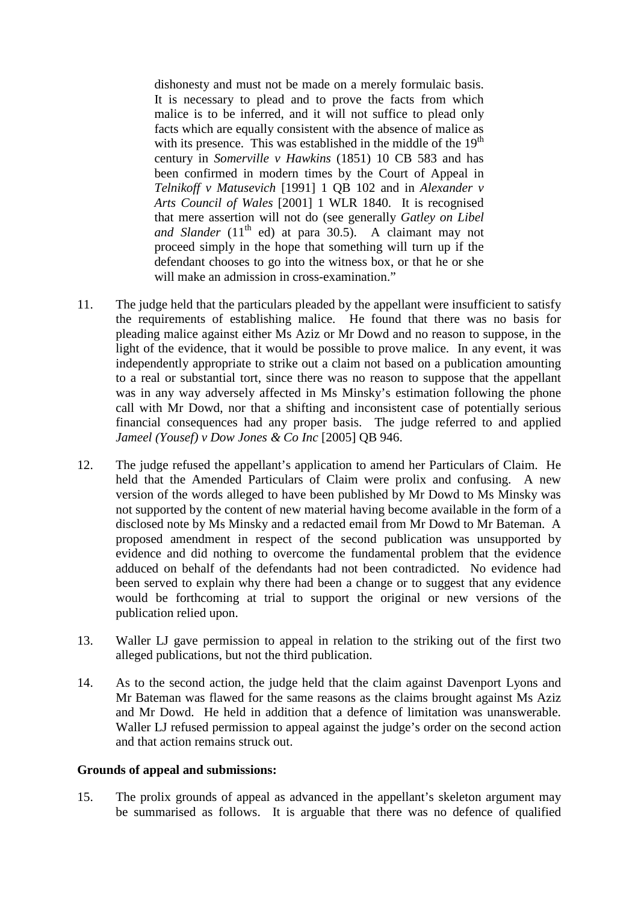dishonesty and must not be made on a merely formulaic basis. It is necessary to plead and to prove the facts from which malice is to be inferred, and it will not suffice to plead only facts which are equally consistent with the absence of malice as with its presence. This was established in the middle of the  $19<sup>th</sup>$ century in *Somerville v Hawkins* (1851) 10 CB 583 and has been confirmed in modern times by the Court of Appeal in *Telnikoff v Matusevich* [1991] 1 QB 102 and in *Alexander v Arts Council of Wales* [2001] 1 WLR 1840. It is recognised that mere assertion will not do (see generally *Gatley on Libel and Slander*  $(11<sup>th</sup>$  ed) at para  $30.5$ . A claimant may not proceed simply in the hope that something will turn up if the defendant chooses to go into the witness box, or that he or she will make an admission in cross-examination."

- 11. The judge held that the particulars pleaded by the appellant were insufficient to satisfy the requirements of establishing malice. He found that there was no basis for pleading malice against either Ms Aziz or Mr Dowd and no reason to suppose, in the light of the evidence, that it would be possible to prove malice. In any event, it was independently appropriate to strike out a claim not based on a publication amounting to a real or substantial tort, since there was no reason to suppose that the appellant was in any way adversely affected in Ms Minsky's estimation following the phone call with Mr Dowd, nor that a shifting and inconsistent case of potentially serious financial consequences had any proper basis. The judge referred to and applied *Jameel (Yousef) v Dow Jones & Co Inc* [2005] QB 946.
- 12. The judge refused the appellant's application to amend her Particulars of Claim. He held that the Amended Particulars of Claim were prolix and confusing. A new version of the words alleged to have been published by Mr Dowd to Ms Minsky was not supported by the content of new material having become available in the form of a disclosed note by Ms Minsky and a redacted email from Mr Dowd to Mr Bateman. A proposed amendment in respect of the second publication was unsupported by evidence and did nothing to overcome the fundamental problem that the evidence adduced on behalf of the defendants had not been contradicted. No evidence had been served to explain why there had been a change or to suggest that any evidence would be forthcoming at trial to support the original or new versions of the publication relied upon.
- 13. Waller LJ gave permission to appeal in relation to the striking out of the first two alleged publications, but not the third publication.
- 14. As to the second action, the judge held that the claim against Davenport Lyons and Mr Bateman was flawed for the same reasons as the claims brought against Ms Aziz and Mr Dowd. He held in addition that a defence of limitation was unanswerable. Waller LJ refused permission to appeal against the judge's order on the second action and that action remains struck out.

#### **Grounds of appeal and submissions:**

15. The prolix grounds of appeal as advanced in the appellant's skeleton argument may be summarised as follows. It is arguable that there was no defence of qualified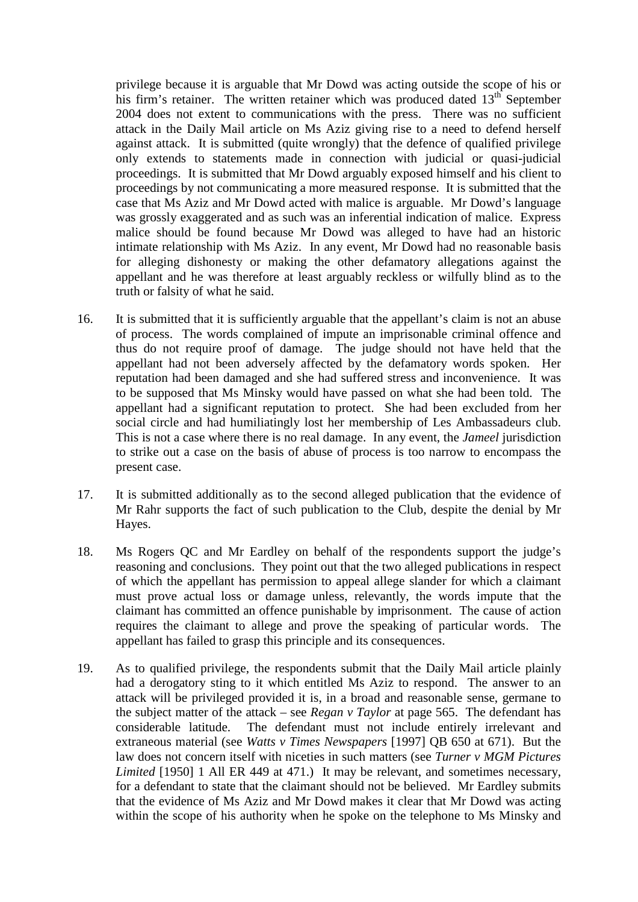privilege because it is arguable that Mr Dowd was acting outside the scope of his or his firm's retainer. The written retainer which was produced dated  $13<sup>th</sup>$  September 2004 does not extent to communications with the press. There was no sufficient attack in the Daily Mail article on Ms Aziz giving rise to a need to defend herself against attack. It is submitted (quite wrongly) that the defence of qualified privilege only extends to statements made in connection with judicial or quasi-judicial proceedings. It is submitted that Mr Dowd arguably exposed himself and his client to proceedings by not communicating a more measured response. It is submitted that the case that Ms Aziz and Mr Dowd acted with malice is arguable. Mr Dowd's language was grossly exaggerated and as such was an inferential indication of malice. Express malice should be found because Mr Dowd was alleged to have had an historic intimate relationship with Ms Aziz. In any event, Mr Dowd had no reasonable basis for alleging dishonesty or making the other defamatory allegations against the appellant and he was therefore at least arguably reckless or wilfully blind as to the truth or falsity of what he said.

- 16. It is submitted that it is sufficiently arguable that the appellant's claim is not an abuse of process. The words complained of impute an imprisonable criminal offence and thus do not require proof of damage. The judge should not have held that the appellant had not been adversely affected by the defamatory words spoken. Her reputation had been damaged and she had suffered stress and inconvenience. It was to be supposed that Ms Minsky would have passed on what she had been told. The appellant had a significant reputation to protect. She had been excluded from her social circle and had humiliatingly lost her membership of Les Ambassadeurs club. This is not a case where there is no real damage. In any event, the *Jameel* jurisdiction to strike out a case on the basis of abuse of process is too narrow to encompass the present case.
- 17. It is submitted additionally as to the second alleged publication that the evidence of Mr Rahr supports the fact of such publication to the Club, despite the denial by Mr Hayes.
- 18. Ms Rogers QC and Mr Eardley on behalf of the respondents support the judge's reasoning and conclusions. They point out that the two alleged publications in respect of which the appellant has permission to appeal allege slander for which a claimant must prove actual loss or damage unless, relevantly, the words impute that the claimant has committed an offence punishable by imprisonment. The cause of action requires the claimant to allege and prove the speaking of particular words. The appellant has failed to grasp this principle and its consequences.
- 19. As to qualified privilege, the respondents submit that the Daily Mail article plainly had a derogatory sting to it which entitled Ms Aziz to respond. The answer to an attack will be privileged provided it is, in a broad and reasonable sense, germane to the subject matter of the attack – see *Regan v Taylor* at page 565. The defendant has considerable latitude. The defendant must not include entirely irrelevant and extraneous material (see *Watts v Times Newspapers* [1997] QB 650 at 671). But the law does not concern itself with niceties in such matters (see *Turner v MGM Pictures Limited* [1950] 1 All ER 449 at 471.) It may be relevant, and sometimes necessary, for a defendant to state that the claimant should not be believed. Mr Eardley submits that the evidence of Ms Aziz and Mr Dowd makes it clear that Mr Dowd was acting within the scope of his authority when he spoke on the telephone to Ms Minsky and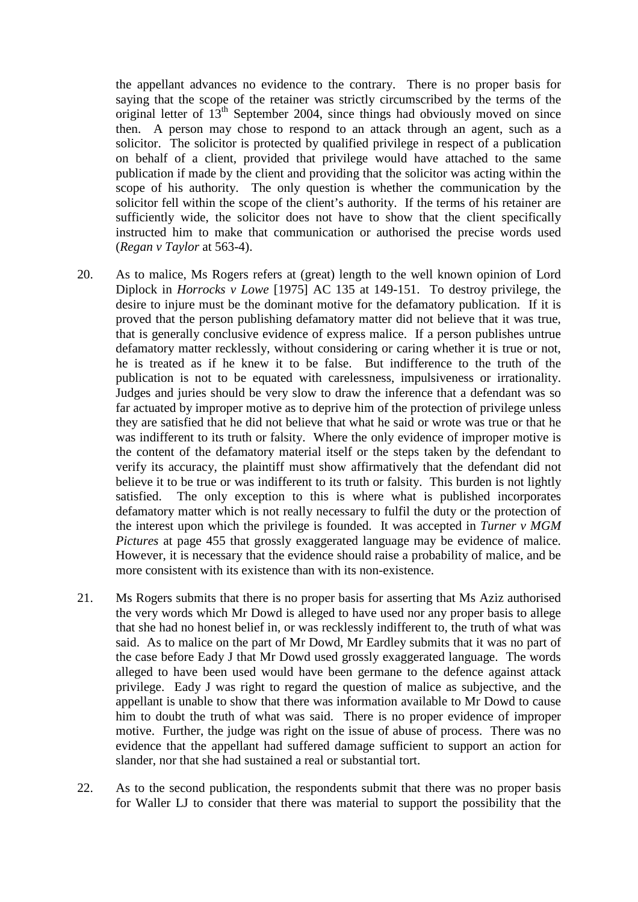the appellant advances no evidence to the contrary. There is no proper basis for saying that the scope of the retainer was strictly circumscribed by the terms of the original letter of  $13<sup>th</sup>$  September 2004, since things had obviously moved on since then. A person may chose to respond to an attack through an agent, such as a solicitor. The solicitor is protected by qualified privilege in respect of a publication on behalf of a client, provided that privilege would have attached to the same publication if made by the client and providing that the solicitor was acting within the scope of his authority. The only question is whether the communication by the solicitor fell within the scope of the client's authority. If the terms of his retainer are sufficiently wide, the solicitor does not have to show that the client specifically instructed him to make that communication or authorised the precise words used (*Regan v Taylor* at 563-4).

- 20. As to malice, Ms Rogers refers at (great) length to the well known opinion of Lord Diplock in *Horrocks v Lowe* [1975] AC 135 at 149-151. To destroy privilege, the desire to injure must be the dominant motive for the defamatory publication. If it is proved that the person publishing defamatory matter did not believe that it was true, that is generally conclusive evidence of express malice. If a person publishes untrue defamatory matter recklessly, without considering or caring whether it is true or not, he is treated as if he knew it to be false. But indifference to the truth of the publication is not to be equated with carelessness, impulsiveness or irrationality. Judges and juries should be very slow to draw the inference that a defendant was so far actuated by improper motive as to deprive him of the protection of privilege unless they are satisfied that he did not believe that what he said or wrote was true or that he was indifferent to its truth or falsity. Where the only evidence of improper motive is the content of the defamatory material itself or the steps taken by the defendant to verify its accuracy, the plaintiff must show affirmatively that the defendant did not believe it to be true or was indifferent to its truth or falsity. This burden is not lightly satisfied. The only exception to this is where what is published incorporates defamatory matter which is not really necessary to fulfil the duty or the protection of the interest upon which the privilege is founded. It was accepted in *Turner v MGM Pictures* at page 455 that grossly exaggerated language may be evidence of malice. However, it is necessary that the evidence should raise a probability of malice, and be more consistent with its existence than with its non-existence.
- 21. Ms Rogers submits that there is no proper basis for asserting that Ms Aziz authorised the very words which Mr Dowd is alleged to have used nor any proper basis to allege that she had no honest belief in, or was recklessly indifferent to, the truth of what was said. As to malice on the part of Mr Dowd, Mr Eardley submits that it was no part of the case before Eady J that Mr Dowd used grossly exaggerated language. The words alleged to have been used would have been germane to the defence against attack privilege. Eady J was right to regard the question of malice as subjective, and the appellant is unable to show that there was information available to Mr Dowd to cause him to doubt the truth of what was said. There is no proper evidence of improper motive. Further, the judge was right on the issue of abuse of process. There was no evidence that the appellant had suffered damage sufficient to support an action for slander, nor that she had sustained a real or substantial tort.
- 22. As to the second publication, the respondents submit that there was no proper basis for Waller LJ to consider that there was material to support the possibility that the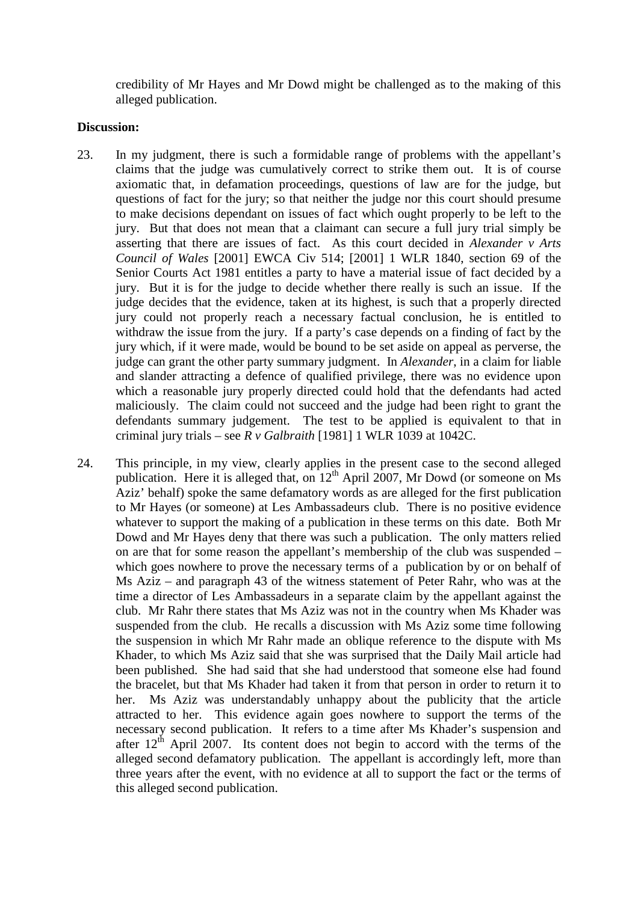credibility of Mr Hayes and Mr Dowd might be challenged as to the making of this alleged publication.

#### **Discussion:**

- 23. In my judgment, there is such a formidable range of problems with the appellant's claims that the judge was cumulatively correct to strike them out. It is of course axiomatic that, in defamation proceedings, questions of law are for the judge, but questions of fact for the jury; so that neither the judge nor this court should presume to make decisions dependant on issues of fact which ought properly to be left to the jury. But that does not mean that a claimant can secure a full jury trial simply be asserting that there are issues of fact. As this court decided in *Alexander v Arts Council of Wales* [2001] EWCA Civ 514; [2001] 1 WLR 1840, section 69 of the Senior Courts Act 1981 entitles a party to have a material issue of fact decided by a jury. But it is for the judge to decide whether there really is such an issue. If the judge decides that the evidence, taken at its highest, is such that a properly directed jury could not properly reach a necessary factual conclusion, he is entitled to withdraw the issue from the jury. If a party's case depends on a finding of fact by the jury which, if it were made, would be bound to be set aside on appeal as perverse, the judge can grant the other party summary judgment. In *Alexander*, in a claim for liable and slander attracting a defence of qualified privilege, there was no evidence upon which a reasonable jury properly directed could hold that the defendants had acted maliciously. The claim could not succeed and the judge had been right to grant the defendants summary judgement. The test to be applied is equivalent to that in criminal jury trials – see *R v Galbraith* [1981] 1 WLR 1039 at 1042C.
- 24. This principle, in my view, clearly applies in the present case to the second alleged publication. Here it is alleged that, on  $12<sup>th</sup>$  April 2007, Mr Dowd (or someone on Ms Aziz' behalf) spoke the same defamatory words as are alleged for the first publication to Mr Hayes (or someone) at Les Ambassadeurs club. There is no positive evidence whatever to support the making of a publication in these terms on this date. Both Mr Dowd and Mr Hayes deny that there was such a publication. The only matters relied on are that for some reason the appellant's membership of the club was suspended – which goes nowhere to prove the necessary terms of a publication by or on behalf of Ms Aziz – and paragraph 43 of the witness statement of Peter Rahr, who was at the time a director of Les Ambassadeurs in a separate claim by the appellant against the club. Mr Rahr there states that Ms Aziz was not in the country when Ms Khader was suspended from the club. He recalls a discussion with Ms Aziz some time following the suspension in which Mr Rahr made an oblique reference to the dispute with Ms Khader, to which Ms Aziz said that she was surprised that the Daily Mail article had been published. She had said that she had understood that someone else had found the bracelet, but that Ms Khader had taken it from that person in order to return it to her. Ms Aziz was understandably unhappy about the publicity that the article attracted to her. This evidence again goes nowhere to support the terms of the necessary second publication. It refers to a time after Ms Khader's suspension and after  $12<sup>th</sup>$  April 2007. Its content does not begin to accord with the terms of the alleged second defamatory publication. The appellant is accordingly left, more than three years after the event, with no evidence at all to support the fact or the terms of this alleged second publication.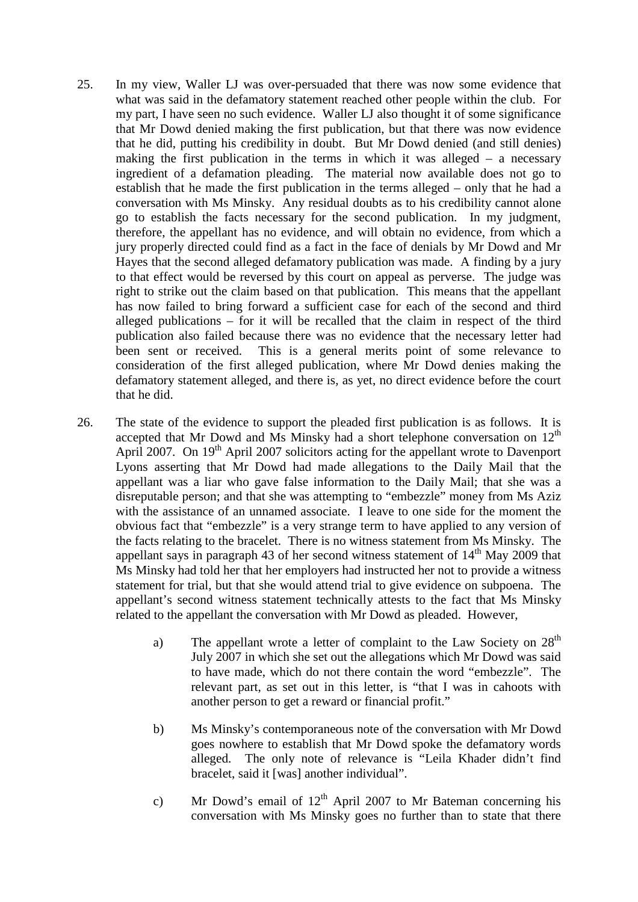- 25. In my view, Waller LJ was over-persuaded that there was now some evidence that what was said in the defamatory statement reached other people within the club. For my part, I have seen no such evidence. Waller LJ also thought it of some significance that Mr Dowd denied making the first publication, but that there was now evidence that he did, putting his credibility in doubt. But Mr Dowd denied (and still denies) making the first publication in the terms in which it was alleged – a necessary ingredient of a defamation pleading. The material now available does not go to establish that he made the first publication in the terms alleged – only that he had a conversation with Ms Minsky. Any residual doubts as to his credibility cannot alone go to establish the facts necessary for the second publication. In my judgment, therefore, the appellant has no evidence, and will obtain no evidence, from which a jury properly directed could find as a fact in the face of denials by Mr Dowd and Mr Hayes that the second alleged defamatory publication was made. A finding by a jury to that effect would be reversed by this court on appeal as perverse. The judge was right to strike out the claim based on that publication. This means that the appellant has now failed to bring forward a sufficient case for each of the second and third alleged publications – for it will be recalled that the claim in respect of the third publication also failed because there was no evidence that the necessary letter had been sent or received. This is a general merits point of some relevance to consideration of the first alleged publication, where Mr Dowd denies making the defamatory statement alleged, and there is, as yet, no direct evidence before the court that he did.
- 26. The state of the evidence to support the pleaded first publication is as follows. It is accepted that Mr Dowd and Ms Minsky had a short telephone conversation on  $12<sup>th</sup>$ April 2007. On 19<sup>th</sup> April 2007 solicitors acting for the appellant wrote to Davenport Lyons asserting that Mr Dowd had made allegations to the Daily Mail that the appellant was a liar who gave false information to the Daily Mail; that she was a disreputable person; and that she was attempting to "embezzle" money from Ms Aziz with the assistance of an unnamed associate. I leave to one side for the moment the obvious fact that "embezzle" is a very strange term to have applied to any version of the facts relating to the bracelet. There is no witness statement from Ms Minsky. The appellant says in paragraph 43 of her second witness statement of  $14<sup>th</sup>$  May 2009 that Ms Minsky had told her that her employers had instructed her not to provide a witness statement for trial, but that she would attend trial to give evidence on subpoena. The appellant's second witness statement technically attests to the fact that Ms Minsky related to the appellant the conversation with Mr Dowd as pleaded. However,
	- a) The appellant wrote a letter of complaint to the Law Society on  $28<sup>th</sup>$ July 2007 in which she set out the allegations which Mr Dowd was said to have made, which do not there contain the word "embezzle". The relevant part, as set out in this letter, is "that I was in cahoots with another person to get a reward or financial profit."
	- b) Ms Minsky's contemporaneous note of the conversation with Mr Dowd goes nowhere to establish that Mr Dowd spoke the defamatory words alleged. The only note of relevance is "Leila Khader didn't find bracelet, said it [was] another individual".
	- c) Mr Dowd's email of  $12<sup>th</sup>$  April 2007 to Mr Bateman concerning his conversation with Ms Minsky goes no further than to state that there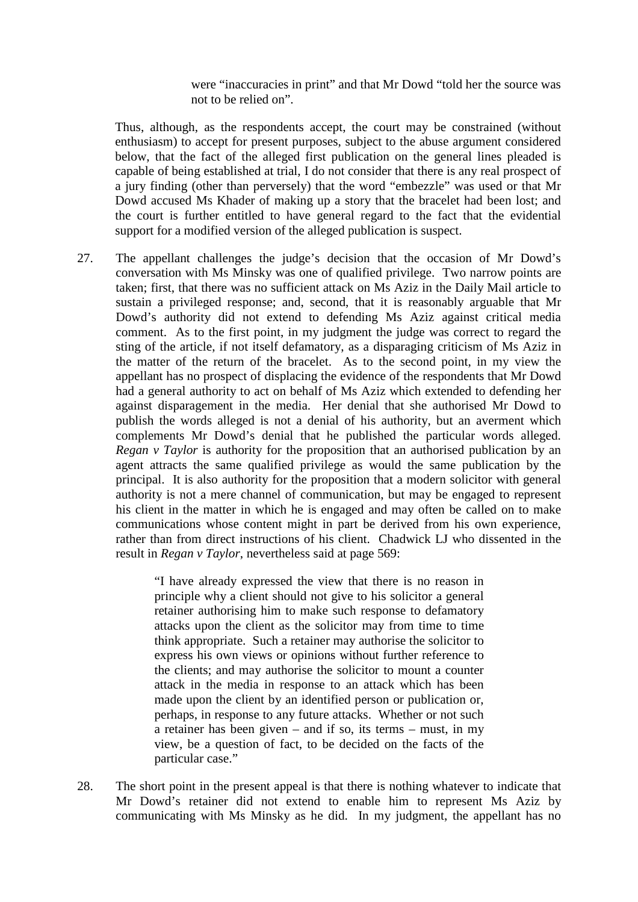were "inaccuracies in print" and that Mr Dowd "told her the source was not to be relied on".

Thus, although, as the respondents accept, the court may be constrained (without enthusiasm) to accept for present purposes, subject to the abuse argument considered below, that the fact of the alleged first publication on the general lines pleaded is capable of being established at trial, I do not consider that there is any real prospect of a jury finding (other than perversely) that the word "embezzle" was used or that Mr Dowd accused Ms Khader of making up a story that the bracelet had been lost; and the court is further entitled to have general regard to the fact that the evidential support for a modified version of the alleged publication is suspect.

27. The appellant challenges the judge's decision that the occasion of Mr Dowd's conversation with Ms Minsky was one of qualified privilege. Two narrow points are taken; first, that there was no sufficient attack on Ms Aziz in the Daily Mail article to sustain a privileged response; and, second, that it is reasonably arguable that Mr Dowd's authority did not extend to defending Ms Aziz against critical media comment. As to the first point, in my judgment the judge was correct to regard the sting of the article, if not itself defamatory, as a disparaging criticism of Ms Aziz in the matter of the return of the bracelet. As to the second point, in my view the appellant has no prospect of displacing the evidence of the respondents that Mr Dowd had a general authority to act on behalf of Ms Aziz which extended to defending her against disparagement in the media. Her denial that she authorised Mr Dowd to publish the words alleged is not a denial of his authority, but an averment which complements Mr Dowd's denial that he published the particular words alleged. *Regan v Taylor* is authority for the proposition that an authorised publication by an agent attracts the same qualified privilege as would the same publication by the principal. It is also authority for the proposition that a modern solicitor with general authority is not a mere channel of communication, but may be engaged to represent his client in the matter in which he is engaged and may often be called on to make communications whose content might in part be derived from his own experience, rather than from direct instructions of his client. Chadwick LJ who dissented in the result in *Regan v Taylor*, nevertheless said at page 569:

> "I have already expressed the view that there is no reason in principle why a client should not give to his solicitor a general retainer authorising him to make such response to defamatory attacks upon the client as the solicitor may from time to time think appropriate. Such a retainer may authorise the solicitor to express his own views or opinions without further reference to the clients; and may authorise the solicitor to mount a counter attack in the media in response to an attack which has been made upon the client by an identified person or publication or, perhaps, in response to any future attacks. Whether or not such a retainer has been given – and if so, its terms – must, in my view, be a question of fact, to be decided on the facts of the particular case."

28. The short point in the present appeal is that there is nothing whatever to indicate that Mr Dowd's retainer did not extend to enable him to represent Ms Aziz by communicating with Ms Minsky as he did. In my judgment, the appellant has no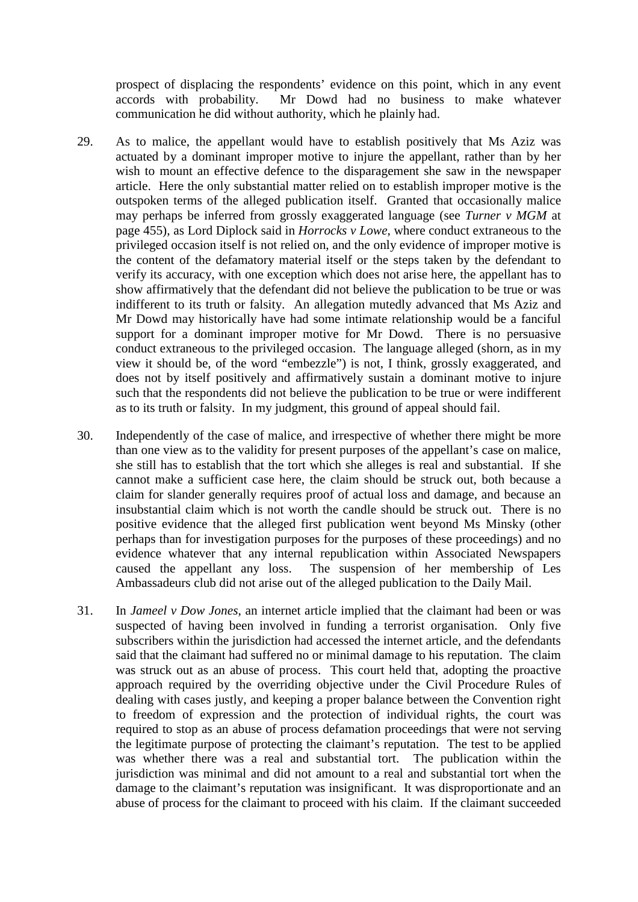prospect of displacing the respondents' evidence on this point, which in any event accords with probability. Mr Dowd had no business to make whatever communication he did without authority, which he plainly had.

- 29. As to malice, the appellant would have to establish positively that Ms Aziz was actuated by a dominant improper motive to injure the appellant, rather than by her wish to mount an effective defence to the disparagement she saw in the newspaper article. Here the only substantial matter relied on to establish improper motive is the outspoken terms of the alleged publication itself. Granted that occasionally malice may perhaps be inferred from grossly exaggerated language (see *Turner v MGM* at page 455), as Lord Diplock said in *Horrocks v Lowe*, where conduct extraneous to the privileged occasion itself is not relied on, and the only evidence of improper motive is the content of the defamatory material itself or the steps taken by the defendant to verify its accuracy, with one exception which does not arise here, the appellant has to show affirmatively that the defendant did not believe the publication to be true or was indifferent to its truth or falsity. An allegation mutedly advanced that Ms Aziz and Mr Dowd may historically have had some intimate relationship would be a fanciful support for a dominant improper motive for Mr Dowd. There is no persuasive conduct extraneous to the privileged occasion. The language alleged (shorn, as in my view it should be, of the word "embezzle") is not, I think, grossly exaggerated, and does not by itself positively and affirmatively sustain a dominant motive to injure such that the respondents did not believe the publication to be true or were indifferent as to its truth or falsity. In my judgment, this ground of appeal should fail.
- 30. Independently of the case of malice, and irrespective of whether there might be more than one view as to the validity for present purposes of the appellant's case on malice, she still has to establish that the tort which she alleges is real and substantial. If she cannot make a sufficient case here, the claim should be struck out, both because a claim for slander generally requires proof of actual loss and damage, and because an insubstantial claim which is not worth the candle should be struck out. There is no positive evidence that the alleged first publication went beyond Ms Minsky (other perhaps than for investigation purposes for the purposes of these proceedings) and no evidence whatever that any internal republication within Associated Newspapers caused the appellant any loss. The suspension of her membership of Les Ambassadeurs club did not arise out of the alleged publication to the Daily Mail.
- 31. In *Jameel v Dow Jones*, an internet article implied that the claimant had been or was suspected of having been involved in funding a terrorist organisation. Only five subscribers within the jurisdiction had accessed the internet article, and the defendants said that the claimant had suffered no or minimal damage to his reputation. The claim was struck out as an abuse of process. This court held that, adopting the proactive approach required by the overriding objective under the Civil Procedure Rules of dealing with cases justly, and keeping a proper balance between the Convention right to freedom of expression and the protection of individual rights, the court was required to stop as an abuse of process defamation proceedings that were not serving the legitimate purpose of protecting the claimant's reputation. The test to be applied was whether there was a real and substantial tort. The publication within the jurisdiction was minimal and did not amount to a real and substantial tort when the damage to the claimant's reputation was insignificant. It was disproportionate and an abuse of process for the claimant to proceed with his claim. If the claimant succeeded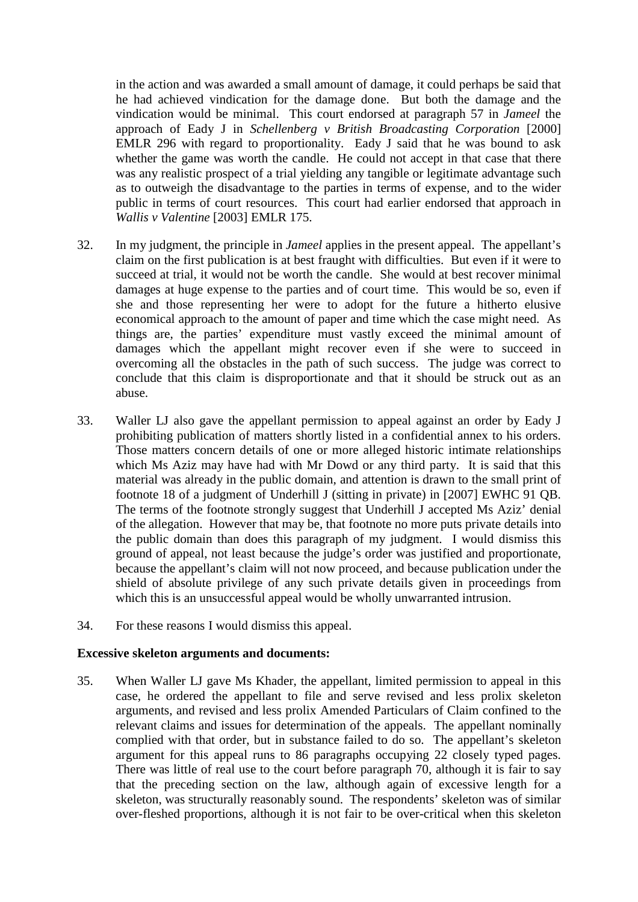in the action and was awarded a small amount of damage, it could perhaps be said that he had achieved vindication for the damage done. But both the damage and the vindication would be minimal. This court endorsed at paragraph 57 in *Jameel* the approach of Eady J in *Schellenberg v British Broadcasting Corporation* [2000] EMLR 296 with regard to proportionality. Eady J said that he was bound to ask whether the game was worth the candle. He could not accept in that case that there was any realistic prospect of a trial yielding any tangible or legitimate advantage such as to outweigh the disadvantage to the parties in terms of expense, and to the wider public in terms of court resources. This court had earlier endorsed that approach in *Wallis v Valentine* [2003] EMLR 175.

- 32. In my judgment, the principle in *Jameel* applies in the present appeal. The appellant's claim on the first publication is at best fraught with difficulties. But even if it were to succeed at trial, it would not be worth the candle. She would at best recover minimal damages at huge expense to the parties and of court time. This would be so, even if she and those representing her were to adopt for the future a hitherto elusive economical approach to the amount of paper and time which the case might need. As things are, the parties' expenditure must vastly exceed the minimal amount of damages which the appellant might recover even if she were to succeed in overcoming all the obstacles in the path of such success. The judge was correct to conclude that this claim is disproportionate and that it should be struck out as an abuse.
- 33. Waller LJ also gave the appellant permission to appeal against an order by Eady J prohibiting publication of matters shortly listed in a confidential annex to his orders. Those matters concern details of one or more alleged historic intimate relationships which Ms Aziz may have had with Mr Dowd or any third party. It is said that this material was already in the public domain, and attention is drawn to the small print of footnote 18 of a judgment of Underhill J (sitting in private) in [2007] EWHC 91 QB. The terms of the footnote strongly suggest that Underhill J accepted Ms Aziz' denial of the allegation. However that may be, that footnote no more puts private details into the public domain than does this paragraph of my judgment. I would dismiss this ground of appeal, not least because the judge's order was justified and proportionate, because the appellant's claim will not now proceed, and because publication under the shield of absolute privilege of any such private details given in proceedings from which this is an unsuccessful appeal would be wholly unwarranted intrusion.
- 34. For these reasons I would dismiss this appeal.

#### **Excessive skeleton arguments and documents:**

35. When Waller LJ gave Ms Khader, the appellant, limited permission to appeal in this case, he ordered the appellant to file and serve revised and less prolix skeleton arguments, and revised and less prolix Amended Particulars of Claim confined to the relevant claims and issues for determination of the appeals. The appellant nominally complied with that order, but in substance failed to do so. The appellant's skeleton argument for this appeal runs to 86 paragraphs occupying 22 closely typed pages. There was little of real use to the court before paragraph 70, although it is fair to say that the preceding section on the law, although again of excessive length for a skeleton, was structurally reasonably sound. The respondents' skeleton was of similar over-fleshed proportions, although it is not fair to be over-critical when this skeleton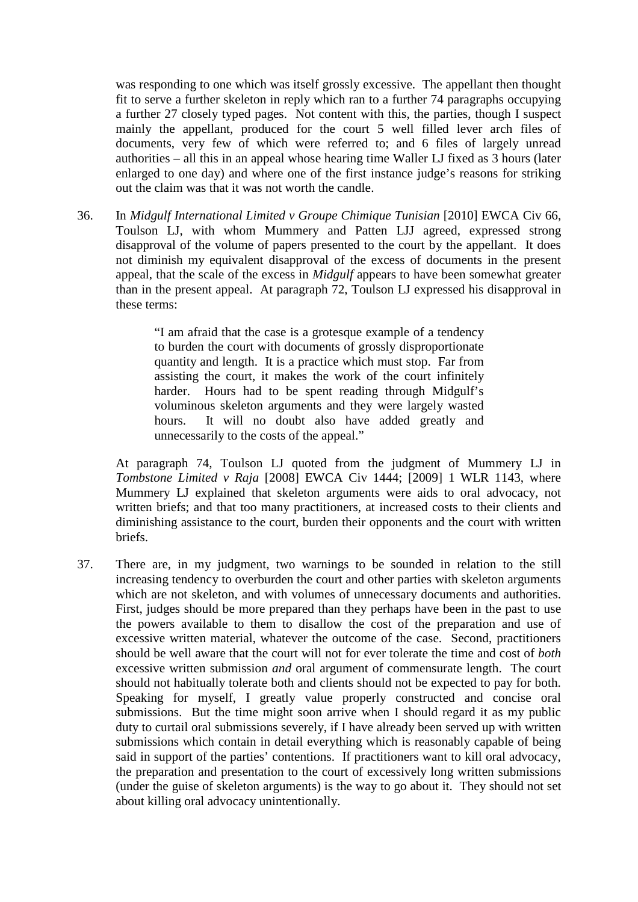was responding to one which was itself grossly excessive. The appellant then thought fit to serve a further skeleton in reply which ran to a further 74 paragraphs occupying a further 27 closely typed pages. Not content with this, the parties, though I suspect mainly the appellant, produced for the court 5 well filled lever arch files of documents, very few of which were referred to; and 6 files of largely unread authorities – all this in an appeal whose hearing time Waller LJ fixed as 3 hours (later enlarged to one day) and where one of the first instance judge's reasons for striking out the claim was that it was not worth the candle.

36. In *Midgulf International Limited v Groupe Chimique Tunisian* [2010] EWCA Civ 66, Toulson LJ, with whom Mummery and Patten LJJ agreed, expressed strong disapproval of the volume of papers presented to the court by the appellant. It does not diminish my equivalent disapproval of the excess of documents in the present appeal, that the scale of the excess in *Midgulf* appears to have been somewhat greater than in the present appeal. At paragraph 72, Toulson LJ expressed his disapproval in these terms:

> "I am afraid that the case is a grotesque example of a tendency to burden the court with documents of grossly disproportionate quantity and length. It is a practice which must stop. Far from assisting the court, it makes the work of the court infinitely harder. Hours had to be spent reading through Midgulf's voluminous skeleton arguments and they were largely wasted hours. It will no doubt also have added greatly and unnecessarily to the costs of the appeal."

At paragraph 74, Toulson LJ quoted from the judgment of Mummery LJ in *Tombstone Limited v Raja* [2008] EWCA Civ 1444; [2009] 1 WLR 1143, where Mummery LJ explained that skeleton arguments were aids to oral advocacy, not written briefs; and that too many practitioners, at increased costs to their clients and diminishing assistance to the court, burden their opponents and the court with written briefs.

37. There are, in my judgment, two warnings to be sounded in relation to the still increasing tendency to overburden the court and other parties with skeleton arguments which are not skeleton, and with volumes of unnecessary documents and authorities. First, judges should be more prepared than they perhaps have been in the past to use the powers available to them to disallow the cost of the preparation and use of excessive written material, whatever the outcome of the case. Second, practitioners should be well aware that the court will not for ever tolerate the time and cost of *both* excessive written submission *and* oral argument of commensurate length. The court should not habitually tolerate both and clients should not be expected to pay for both. Speaking for myself, I greatly value properly constructed and concise oral submissions. But the time might soon arrive when I should regard it as my public duty to curtail oral submissions severely, if I have already been served up with written submissions which contain in detail everything which is reasonably capable of being said in support of the parties' contentions. If practitioners want to kill oral advocacy, the preparation and presentation to the court of excessively long written submissions (under the guise of skeleton arguments) is the way to go about it. They should not set about killing oral advocacy unintentionally.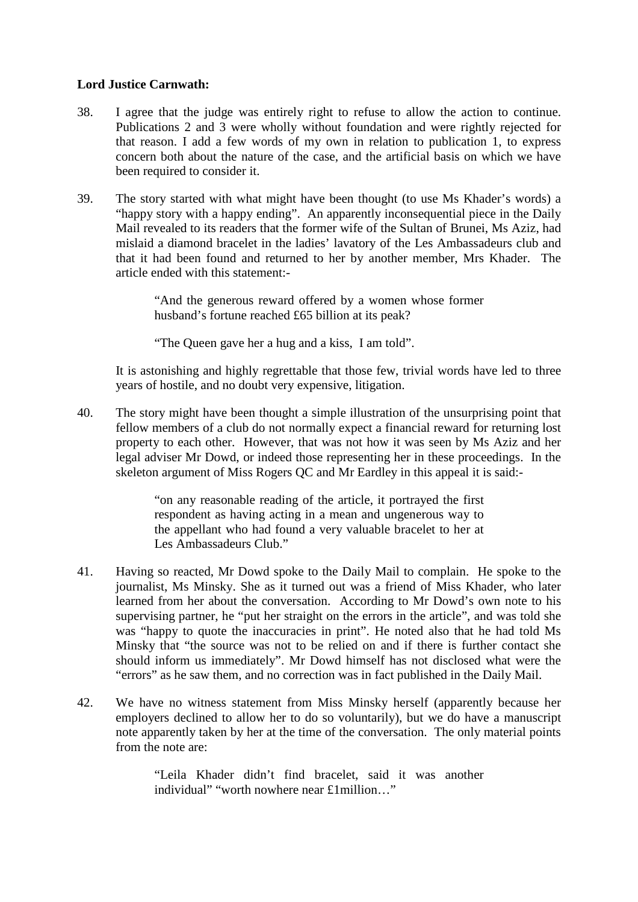### **Lord Justice Carnwath:**

- 38. I agree that the judge was entirely right to refuse to allow the action to continue. Publications 2 and 3 were wholly without foundation and were rightly rejected for that reason. I add a few words of my own in relation to publication 1, to express concern both about the nature of the case, and the artificial basis on which we have been required to consider it.
- 39. The story started with what might have been thought (to use Ms Khader's words) a "happy story with a happy ending". An apparently inconsequential piece in the Daily Mail revealed to its readers that the former wife of the Sultan of Brunei, Ms Aziz, had mislaid a diamond bracelet in the ladies' lavatory of the Les Ambassadeurs club and that it had been found and returned to her by another member, Mrs Khader. The article ended with this statement:-

"And the generous reward offered by a women whose former husband's fortune reached £65 billion at its peak?

"The Queen gave her a hug and a kiss, I am told".

It is astonishing and highly regrettable that those few, trivial words have led to three years of hostile, and no doubt very expensive, litigation.

40. The story might have been thought a simple illustration of the unsurprising point that fellow members of a club do not normally expect a financial reward for returning lost property to each other. However, that was not how it was seen by Ms Aziz and her legal adviser Mr Dowd, or indeed those representing her in these proceedings. In the skeleton argument of Miss Rogers QC and Mr Eardley in this appeal it is said:-

> "on any reasonable reading of the article, it portrayed the first respondent as having acting in a mean and ungenerous way to the appellant who had found a very valuable bracelet to her at Les Ambassadeurs Club."

- 41. Having so reacted, Mr Dowd spoke to the Daily Mail to complain. He spoke to the journalist, Ms Minsky. She as it turned out was a friend of Miss Khader, who later learned from her about the conversation. According to Mr Dowd's own note to his supervising partner, he "put her straight on the errors in the article", and was told she was "happy to quote the inaccuracies in print". He noted also that he had told Ms Minsky that "the source was not to be relied on and if there is further contact she should inform us immediately". Mr Dowd himself has not disclosed what were the "errors" as he saw them, and no correction was in fact published in the Daily Mail.
- 42. We have no witness statement from Miss Minsky herself (apparently because her employers declined to allow her to do so voluntarily), but we do have a manuscript note apparently taken by her at the time of the conversation. The only material points from the note are:

"Leila Khader didn't find bracelet, said it was another individual" "worth nowhere near £1million…"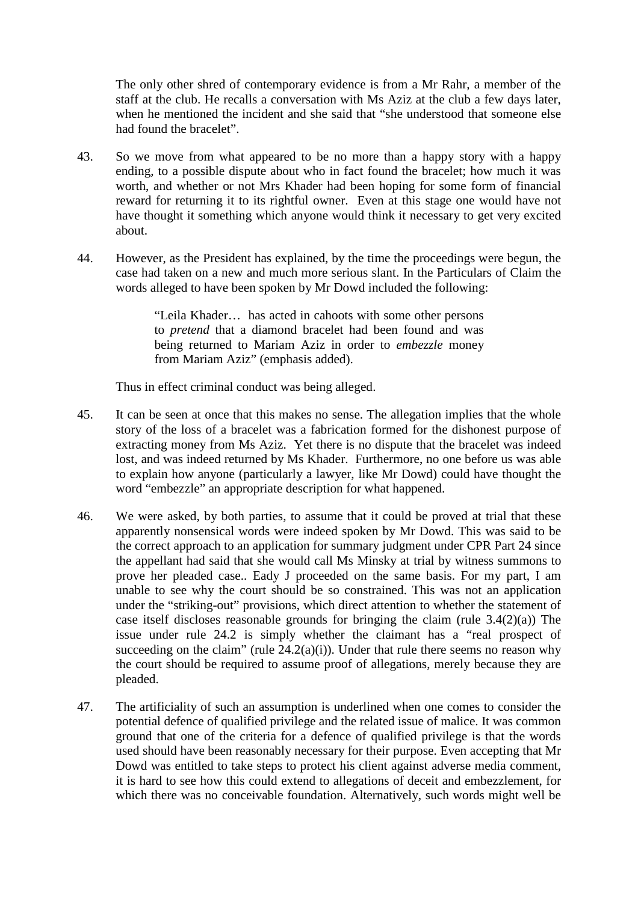The only other shred of contemporary evidence is from a Mr Rahr, a member of the staff at the club. He recalls a conversation with Ms Aziz at the club a few days later, when he mentioned the incident and she said that "she understood that someone else had found the bracelet".

- 43. So we move from what appeared to be no more than a happy story with a happy ending, to a possible dispute about who in fact found the bracelet; how much it was worth, and whether or not Mrs Khader had been hoping for some form of financial reward for returning it to its rightful owner. Even at this stage one would have not have thought it something which anyone would think it necessary to get very excited about.
- 44. However, as the President has explained, by the time the proceedings were begun, the case had taken on a new and much more serious slant. In the Particulars of Claim the words alleged to have been spoken by Mr Dowd included the following:

"Leila Khader… has acted in cahoots with some other persons to *pretend* that a diamond bracelet had been found and was being returned to Mariam Aziz in order to *embezzle* money from Mariam Aziz" (emphasis added).

Thus in effect criminal conduct was being alleged.

- 45. It can be seen at once that this makes no sense. The allegation implies that the whole story of the loss of a bracelet was a fabrication formed for the dishonest purpose of extracting money from Ms Aziz. Yet there is no dispute that the bracelet was indeed lost, and was indeed returned by Ms Khader. Furthermore, no one before us was able to explain how anyone (particularly a lawyer, like Mr Dowd) could have thought the word "embezzle" an appropriate description for what happened.
- 46. We were asked, by both parties, to assume that it could be proved at trial that these apparently nonsensical words were indeed spoken by Mr Dowd. This was said to be the correct approach to an application for summary judgment under CPR Part 24 since the appellant had said that she would call Ms Minsky at trial by witness summons to prove her pleaded case.. Eady J proceeded on the same basis. For my part, I am unable to see why the court should be so constrained. This was not an application under the "striking-out" provisions, which direct attention to whether the statement of case itself discloses reasonable grounds for bringing the claim (rule 3.4(2)(a)) The issue under rule 24.2 is simply whether the claimant has a "real prospect of succeeding on the claim" (rule  $24.2(a)(i)$ ). Under that rule there seems no reason why the court should be required to assume proof of allegations, merely because they are pleaded.
- 47. The artificiality of such an assumption is underlined when one comes to consider the potential defence of qualified privilege and the related issue of malice. It was common ground that one of the criteria for a defence of qualified privilege is that the words used should have been reasonably necessary for their purpose. Even accepting that Mr Dowd was entitled to take steps to protect his client against adverse media comment, it is hard to see how this could extend to allegations of deceit and embezzlement, for which there was no conceivable foundation. Alternatively, such words might well be